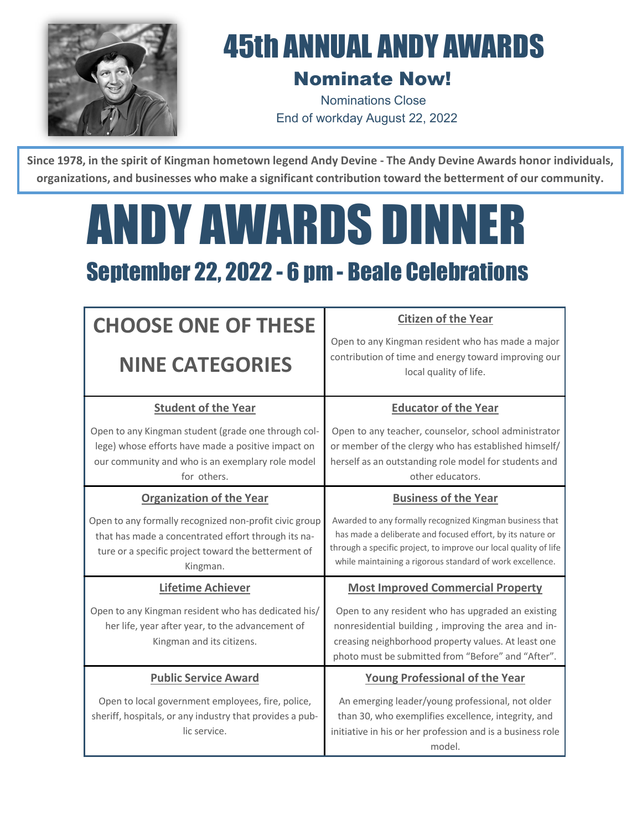

## 45th ANNUAL ANDY AWARDS

## Nominate Now!

Nominations Close End of workday August 22, 2022

Since 1978, in the spirit of Kingman hometown legend Andy Devine - The Andy Devine Awards honor individuals, **organizations, and businesses who make a significant contribution toward the betterment of our community.**

## ANDY AWARDS DINNER September 22, 2022 - 6 pm - Beale Celebrations

| <b>CHOOSE ONE OF THESE</b>                                                                                                                                                       | <b>Citizen of the Year</b><br>Open to any Kingman resident who has made a major                                                                                                                                                                         |
|----------------------------------------------------------------------------------------------------------------------------------------------------------------------------------|---------------------------------------------------------------------------------------------------------------------------------------------------------------------------------------------------------------------------------------------------------|
| <b>NINE CATEGORIES</b>                                                                                                                                                           | contribution of time and energy toward improving our<br>local quality of life.                                                                                                                                                                          |
| <b>Student of the Year</b>                                                                                                                                                       | <b>Educator of the Year</b>                                                                                                                                                                                                                             |
| Open to any Kingman student (grade one through col-<br>lege) whose efforts have made a positive impact on<br>our community and who is an exemplary role model<br>for others.     | Open to any teacher, counselor, school administrator<br>or member of the clergy who has established himself/<br>herself as an outstanding role model for students and<br>other educators.                                                               |
| <b>Organization of the Year</b>                                                                                                                                                  | <b>Business of the Year</b>                                                                                                                                                                                                                             |
| Open to any formally recognized non-profit civic group<br>that has made a concentrated effort through its na-<br>ture or a specific project toward the betterment of<br>Kingman. | Awarded to any formally recognized Kingman business that<br>has made a deliberate and focused effort, by its nature or<br>through a specific project, to improve our local quality of life<br>while maintaining a rigorous standard of work excellence. |
| <b>Lifetime Achiever</b>                                                                                                                                                         | <b>Most Improved Commercial Property</b>                                                                                                                                                                                                                |
| Open to any Kingman resident who has dedicated his/<br>her life, year after year, to the advancement of<br>Kingman and its citizens.                                             | Open to any resident who has upgraded an existing<br>nonresidential building, improving the area and in-<br>creasing neighborhood property values. At least one<br>photo must be submitted from "Before" and "After".                                   |
| <b>Public Service Award</b>                                                                                                                                                      | <b>Young Professional of the Year</b>                                                                                                                                                                                                                   |
| Open to local government employees, fire, police,<br>sheriff, hospitals, or any industry that provides a pub-<br>lic service.                                                    | An emerging leader/young professional, not older<br>than 30, who exemplifies excellence, integrity, and<br>initiative in his or her profession and is a business role<br>model.                                                                         |